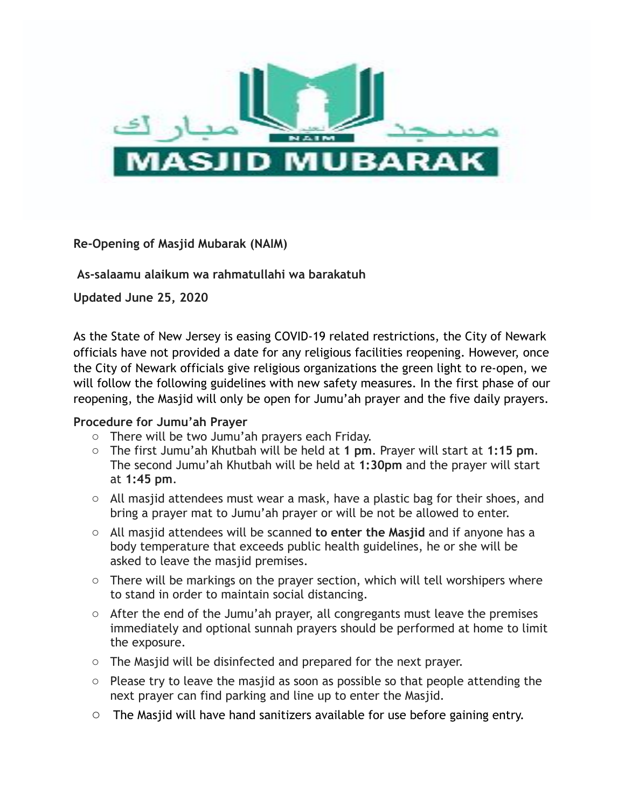

**Re-Opening of Masjid Mubarak (NAIM)** 

**As-salaamu alaikum wa rahmatullahi wa barakatuh** 

**Updated June 25, 2020** 

As the State of New Jersey is easing COVID-19 related restrictions, the City of Newark officials have not provided a date for any religious facilities reopening. However, once the City of Newark officials give religious organizations the green light to re-open, we will follow the following guidelines with new safety measures. In the first phase of our reopening, the Masjid will only be open for Jumu'ah prayer and the five daily prayers.

## **Procedure for Jumu'ah Prayer**

- o There will be two Jumu'ah prayers each Friday.
- o The first Jumu'ah Khutbah will be held at **1 pm**. Prayer will start at **1:15 pm**. The second Jumu'ah Khutbah will be held at **1:30pm** and the prayer will start at **1:45 pm**.
- o All masjid attendees must wear a mask, have a plastic bag for their shoes, and bring a prayer mat to Jumu'ah prayer or will be not be allowed to enter.
- o All masjid attendees will be scanned **to enter the Masjid** and if anyone has a body temperature that exceeds public health guidelines, he or she will be asked to leave the masjid premises.
- o There will be markings on the prayer section, which will tell worshipers where to stand in order to maintain social distancing.
- $\circ$  After the end of the Jumu'ah prayer, all congregants must leave the premises immediately and optional sunnah prayers should be performed at home to limit the exposure.
- o The Masjid will be disinfected and prepared for the next prayer.
- $\circ$  Please try to leave the masjid as soon as possible so that people attending the next prayer can find parking and line up to enter the Masjid.
- o The Masjid will have hand sanitizers available for use before gaining entry.